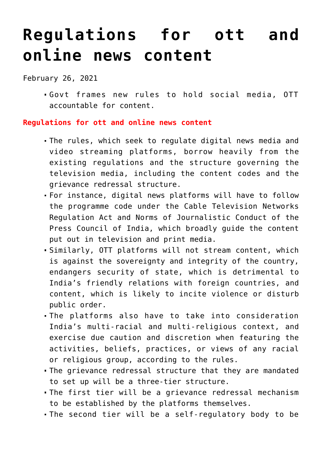## **[Regulations for ott and](https://journalsofindia.com/regulations-for-ott-and-online-news-content/) [online news content](https://journalsofindia.com/regulations-for-ott-and-online-news-content/)**

February 26, 2021

Govt frames new rules to hold social media, OTT accountable for content.

**Regulations for ott and online news content**

- The rules, which seek to regulate digital news media and video streaming platforms, borrow heavily from the existing regulations and the structure governing the television media, including the content codes and the grievance redressal structure.
- For instance, digital news platforms will have to follow the programme code under the Cable Television Networks Regulation Act and Norms of Journalistic Conduct of the Press Council of India, which broadly guide the content put out in television and print media.
- Similarly, OTT platforms will not stream content, which is against the sovereignty and integrity of the country, endangers security of state, which is detrimental to India's friendly relations with foreign countries, and content, which is likely to incite violence or disturb public order.
- The platforms also have to take into consideration India's multi-racial and multi-religious context, and exercise due caution and discretion when featuring the activities, beliefs, practices, or views of any racial or religious group, according to the rules.
- The grievance redressal structure that they are mandated to set up will be a three-tier structure.
- The first tier will be a grievance redressal mechanism to be established by the platforms themselves.
- The second tier will be a self-regulatory body to be